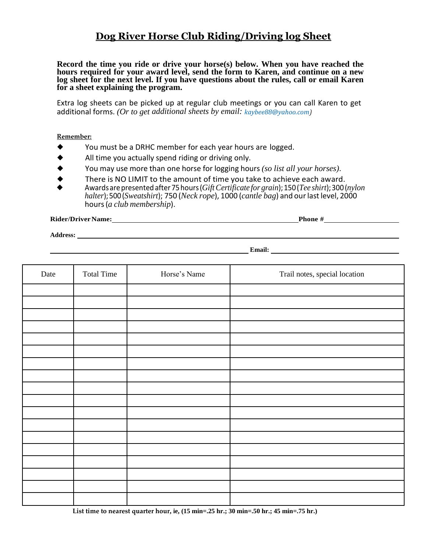## **Dog River Horse Club Riding/Driving log Sheet**

**Record the time you ride or drive your horse(s) below. When you have reached the hours required for your award level, send the form to Karen, and continue on a new log sheet for the next level. If you have questions about the rules, call or email Karen for a sheet explaining the program.**

Extra log sheets can be picked up at regular club meetings or you can call Karen to get additional forms. *(Or to get additional sheets by email: kaybee88@yahoo.com)*

**Remember:**

- You must be a DRHC member for each year hours are logged.
- All time you actually spend riding or driving only.
- ◆ You may use more than one horse for logging hours *(so list all your horses)*.
- There is NO LIMIT to the amount of time you take to achieve each award.
- ◆ Awards arepresentedafter75hours(*GiftCertificate for grain*);150(*Tee shirt*);300(*nylon halter*);500(*Sweatshirt*); 750 (*Neck rope*), 1000 (*cantle bag*) and ourlastlevel, 2000 hours(*a club membership*).

**Rider/DriverName: Phone #**

**Address:** 

**Email: Email: Email: Email: Email: Email: Email: Email: Email: Email: Email: Email: Email: Email: Email: EMAIL: EMAIL: EMAIL: EMAIL: EMAIL: EMAIL: EMAIL: EMAIL: EMAIL: EMAIL** 

| Date | <b>Total Time</b> | Horse's Name | Trail notes, special location |
|------|-------------------|--------------|-------------------------------|
|      |                   |              |                               |
|      |                   |              |                               |
|      |                   |              |                               |
|      |                   |              |                               |
|      |                   |              |                               |
|      |                   |              |                               |
|      |                   |              |                               |
|      |                   |              |                               |
|      |                   |              |                               |
|      |                   |              |                               |
|      |                   |              |                               |
|      |                   |              |                               |
|      |                   |              |                               |
|      |                   |              |                               |
|      |                   |              |                               |
|      |                   |              |                               |
|      |                   |              |                               |
|      |                   |              |                               |